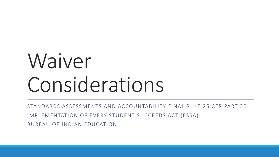# Waiver Considerations

STANDARDS ASSESSMENTS AND ACCOUNTABILITY FINAL RULE 25 CFR PART 30 IMPLEMENTATION OF EVERY STUDENT SUCCEEDS ACT (ESSA) BUREAU OF INDIAN EDUCATION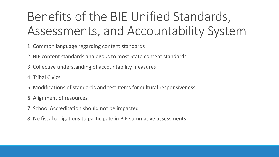# Benefits of the BIE Unified Standards, Assessments, and Accountability System

- 1. Common language regarding content standards
- 2. BIE content standards analogous to most State content standards
- 3. Collective understanding of accountability measures
- 4. Tribal Civics
- 5. Modifications of standards and test Items for cultural responsiveness
- 6. Alignment of resources
- 7. School Accreditation should not be impacted
- 8. No fiscal obligations to participate in BIE summative assessments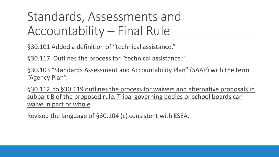### Standards, Assessments and Accountability – Final Rule

§30.101 Added a definition of "technical assistance."

§30.117 Outlines the process for "technical assistance."

§30.103 "Standards Assessment and Accountability Plan" (SAAP) with the term "Agency Plan".

§30.112 to §30.119 outlines the process for waivers and alternative proposals in subpart B of the proposed rule. Tribal governing bodies or school boards can waive in part or whole.

Revised the language of §30.104 (c) consistent with ESEA.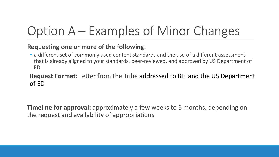# Option A – Examples of Minor Changes

#### **Requesting one or more of the following:**

**Example 2** a different set of commonly used content standards and the use of a different assessment that is already aligned to your standards, peer-reviewed, and approved by US Department of ED

#### **Request Format:** Letter from the Tribe addressed to BIE and the US Department of ED

**Timeline for approval:** approximately a few weeks to 6 months, depending on the request and availability of appropriations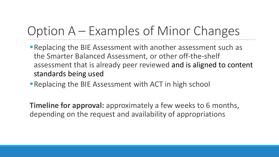### Option A – Examples of Minor Changes

- **Replacing the BIE Assessment with another assessment such as** the Smarter Balanced Assessment, or other off-the-shelf assessment that is already peer reviewed and is aligned to content standards being used
- **Replacing the BIE Assessment with ACT in high school**

**Timeline for approval:** approximately a few weeks to 6 months, depending on the request and availability of appropriations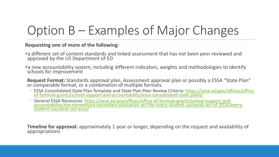# Option B – Examples of Major Changes

#### **Requesting one of more of the following:**

- a different set of content standards and linked assessment that has not been peer reviewed and approved by the US Department of ED
- a new accountability system, including different indicators, weights and methodologies to identify schools for improvement
- **Request Format:** Standards approval plan, Assessment approval plan or possibly a ESSA "State Plan" or comparable format, or a combination of multiple formats.
- ESSA Consolidated State Plan Template and State Plan Peer Review Criteria: https://oese.ed.gov/offices/office[of-formula-grants/school-support-and-accountability/essa-consolidated-state-plans/](https://gcc02.safelinks.protection.outlook.com/?url=https%3A%2F%2Foese.ed.gov%2Foffices%2Foffice-of-formula-grants%2Fschool-support-and-accountability%2Fessa-consolidated-state-plans%2F&data=04%7C01%7Cmaureen.lesky%40bie.edu%7Ce9bfbb1d89934e6c538108d88b002f92%7C0693b5ba4b184d7b9341f32f400a5494%7C0%7C0%7C637412180198679379%7CUnknown%7CTWFpbGZsb3d8eyJWIjoiMC4wLjAwMDAiLCJQIjoiV2luMzIiLCJBTiI6Ik1haWwiLCJXVCI6Mn0%3D%7C1000&sdata=Bz1BfcXpEnoBtwDKakEf3phxFvXc4zRsT3NqRP7cgac%3D&reserved=0)
- General ESSA Resources: https://oese.ed.gov/offices/office-of-formula-grants/school-support-and[accountability/the-elementary-secondary-education-act-the-every-student-succeeds-act-of-2016/every](https://gcc02.safelinks.protection.outlook.com/?url=https%3A%2F%2Foese.ed.gov%2Foffices%2Foffice-of-formula-grants%2Fschool-support-and-accountability%2Fthe-elementary-secondary-education-act-the-every-student-succeeds-act-of-2016%2Fevery-student-succeeds-act-essa%2F&data=04%7C01%7Cmaureen.lesky%40bie.edu%7Ce9bfbb1d89934e6c538108d88b002f92%7C0693b5ba4b184d7b9341f32f400a5494%7C0%7C0%7C637412180198689337%7CUnknown%7CTWFpbGZsb3d8eyJWIjoiMC4wLjAwMDAiLCJQIjoiV2luMzIiLCJBTiI6Ik1haWwiLCJXVCI6Mn0%3D%7C1000&sdata=g4r6NDBWtTL%2F5xwqHKWzdJ7ey7LZA70yX4GXDDLSAyY%3D&reserved=0)student-succeeds-act-essa/

**Timeline for approval:** approximately 1 year or longer, depending on the request and availability of appropriations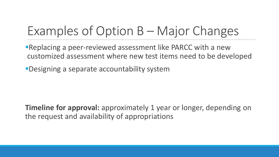### Examples of Option B – Major Changes

Replacing a peer-reviewed assessment like PARCC with a new customized assessment where new test items need to be developed

Designing a separate accountability system

**Timeline for approval:** approximately 1 year or longer, depending on the request and availability of appropriations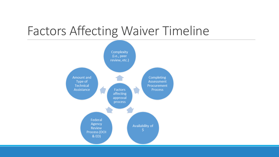### Factors Affecting Waiver Timeline

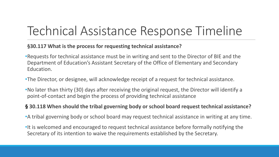### Technical Assistance Response Timeline

#### **§30.117 What is the process for requesting technical assistance?**

- •Requests for technical assistance must be in writing and sent to the Director of BIE and the Department of Education's Assistant Secretary of the Office of Elementary and Secondary Education.
- •The Director, or designee, will acknowledge receipt of a request for technical assistance.
- •No later than thirty (30) days after receiving the original request, the Director will identify a point-of-contact and begin the process of providing technical assistance

#### **§ 30.118 When should the tribal governing body or school board request technical assistance?**

- •A tribal governing body or school board may request technical assistance in writing at any time.
- •It is welcomed and encouraged to request technical assistance before formally notifying the Secretary of its intention to waive the requirements established by the Secretary.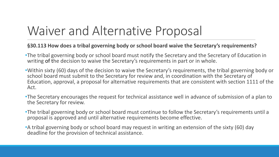### Waiver and Alternative Proposal

#### **§30.113 How does a tribal governing body or school board waive the Secretary's requirements?**

- •The tribal governing body or school board must notify the Secretary and the Secretary of Education in writing of the decision to waive the Secretary's requirements in part or in whole.
- •Within sixty (60) days of the decision to waive the Secretary's requirements, the tribal governing body or school board must submit to the Secretary for review and, in coordination with the Secretary of Education, approval, a proposal for alternative requirements that are consistent with section 1111 of the Act.
- •The Secretary encourages the request for technical assistance well in advance of submission of a plan to the Secretary for review.
- •The tribal governing body or school board must continue to follow the Secretary's requirements until a proposal is approved and until alternative requirements become effective.
- •A tribal governing body or school board may request in writing an extension of the sixty (60) day deadline for the provision of technical assistance.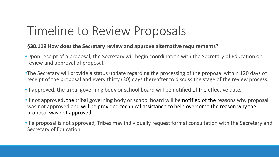### Timeline to Review Proposals

#### **§30.119 How does the Secretary review and approve alternative requirements?**

- •Upon receipt of a proposal, the Secretary will begin coordination with the Secretary of Education on review and approval of proposal.
- •The Secretary will provide a status update regarding the processing of the proposal within 120 days of receipt of the proposal and every thirty (30) days thereafter to discuss the stage of the review process.
- •If approved, the tribal governing body or school board will be notified of the effective date.
- •If not approved, the tribal governing body or school board will be notified of the reasons why proposal was not approved and will be provided technical assistance to help overcome the reason why the proposal was not approved.
- •If a proposal is not approved, Tribes may individually request formal consultation with the Secretary and Secretary of Education.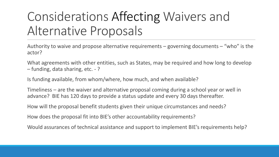### Considerations Affecting Waivers and Alternative Proposals

Authority to waive and propose alternative requirements – governing documents – "who" is the actor?

What agreements with other entities, such as States, may be required and how long to develop – funding, data sharing, etc. - ?

Is funding available, from whom/where, how much, and when available?

Timeliness – are the waiver and alternative proposal coming during a school year or well in advance? BIE has 120 days to provide a status update and every 30 days thereafter.

How will the proposal benefit students given their unique circumstances and needs?

How does the proposal fit into BIE's other accountability requirements?

Would assurances of technical assistance and support to implement BIE's requirements help?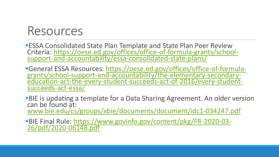### Resources

**ESSA Consolidated State Plan Template and State Plan Peer Review** Criteria: [https://oese.ed.gov/offices/office-of-formula-grants/school](https://gcc02.safelinks.protection.outlook.com/?url=https%3A%2F%2Foese.ed.gov%2Foffices%2Foffice-of-formula-grants%2Fschool-support-and-accountability%2Fessa-consolidated-state-plans%2F&data=04%7C01%7Cmaureen.lesky%40bie.edu%7Ce9bfbb1d89934e6c538108d88b002f92%7C0693b5ba4b184d7b9341f32f400a5494%7C0%7C0%7C637412180198679379%7CUnknown%7CTWFpbGZsb3d8eyJWIjoiMC4wLjAwMDAiLCJQIjoiV2luMzIiLCJBTiI6Ik1haWwiLCJXVCI6Mn0%3D%7C1000&sdata=Bz1BfcXpEnoBtwDKakEf3phxFvXc4zRsT3NqRP7cgac%3D&reserved=0)support-and-accountability/essa-consolidated-state-plans/

General ESSA Resources: https://oese.ed.gov/offices/office-of-formulagrants/school-support-and-accountability/the-elementary-secondary[education-act-the-every-student-succeeds-act-of-2016/every-student](https://gcc02.safelinks.protection.outlook.com/?url=https%3A%2F%2Foese.ed.gov%2Foffices%2Foffice-of-formula-grants%2Fschool-support-and-accountability%2Fthe-elementary-secondary-education-act-the-every-student-succeeds-act-of-2016%2Fevery-student-succeeds-act-essa%2F&data=04%7C01%7Cmaureen.lesky%40bie.edu%7Ce9bfbb1d89934e6c538108d88b002f92%7C0693b5ba4b184d7b9341f32f400a5494%7C0%7C0%7C637412180198689337%7CUnknown%7CTWFpbGZsb3d8eyJWIjoiMC4wLjAwMDAiLCJQIjoiV2luMzIiLCJBTiI6Ik1haWwiLCJXVCI6Mn0%3D%7C1000&sdata=g4r6NDBWtTL%2F5xwqHKWzdJ7ey7LZA70yX4GXDDLSAyY%3D&reserved=0)succeeds-act-essa/

BIE is updating a template for a Data Sharing Agreement. An older version can be found at: [www.bie.edu/cs/groups/xbie/documents/document/idc1-034247.pdf](http://www.bie.edu/cs/groups/xbie/documents/document/idc1-034247.pdf)

[BIE Final Rule: https://www.govinfo.gov/content/pkg/FR-2020-03-](https://www.govinfo.gov/content/pkg/FR-2020-03-26/pdf/2020-06148.pdf) 26/pdf/2020-06148.pdf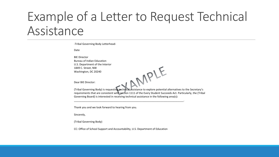### Example of a Letter to Request Technical Assistance

-Tribal Governing Body Letterhead-

Date

BIE Director Bureau of Indian Education U.S. Department of the Interior 1849 C. Street, NW Washington, DC 20240

Dear BIE Director:

Uear BIE Director:<br>(Tribal Governing Body) is requesting technical assistance to explore potential alternatives to the Secretary's requirements that are consistent with section 1111 of the Every Student Succeeds Act. Particularly, the (Tribal Governing Board) is interested in receiving technical assistance in the following area(s):

\_\_\_\_\_\_\_\_\_\_\_\_\_\_\_\_\_\_\_\_\_\_\_\_\_\_\_\_\_\_\_\_\_\_\_\_\_\_\_\_\_\_\_\_\_\_\_\_\_\_\_\_\_\_\_\_\_\_\_\_\_\_\_\_\_\_\_\_\_\_\_\_\_\_\_.

Thank you and we look forward to hearing from you.

Sincerely,

(Tribal Governing Body)

CC: Office of School Support and Accountability, U.S. Department of Education